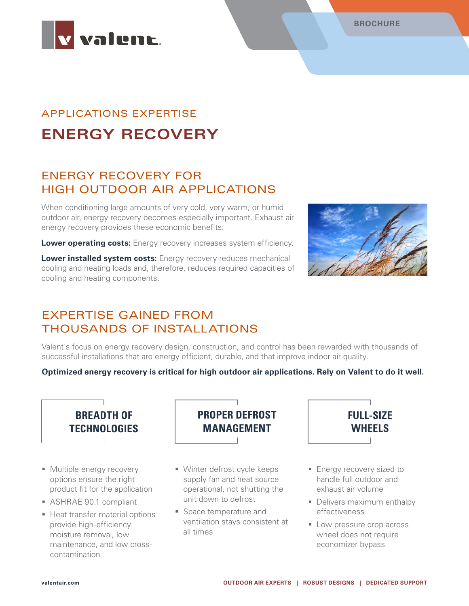



# APPLICATIONS EXPERTISE **ENERGY RECOVERY**

## ENERGY RECOVERY FOR HIGH OUTDOOR AIR APPLICATIONS

When conditioning large amounts of very cold, very warm, or humid outdoor air, energy recovery becomes especially important. Exhaust air energy recovery provides these economic benefits:

**Lower operating costs:** Energy recovery increases system efficiency.

**Lower installed system costs:** Energy recovery reduces mechanical cooling and heating loads and, therefore, reduces required capacities of cooling and heating components.



### EXPERTISE GAINED FROM THOUSANDS OF INSTALLATIONS

Valent's focus on energy recovery design, construction, and control has been rewarded with thousands of successful installations that are energy efficient, durable, and that improve indoor air quality.

#### **Optimized energy recovery is critical for high outdoor air applications. Rely on Valent to do it well.**



- **Multiple energy recovery** options ensure the right product fit for the application
- ASHRAE 90.1 compliant
- **Heat transfer material options** provide high-efficiency moisture removal, low maintenance, and low crosscontamination



- Winter defrost cycle keeps supply fan and heat source operational, not shutting the unit down to defrost
- **Space temperature and** ventilation stays consistent at all times



- **Energy recovery sized to** handle full outdoor and exhaust air volume
- Delivers maximum enthalpy effectiveness
- **Low pressure drop across** wheel does not require economizer bypass